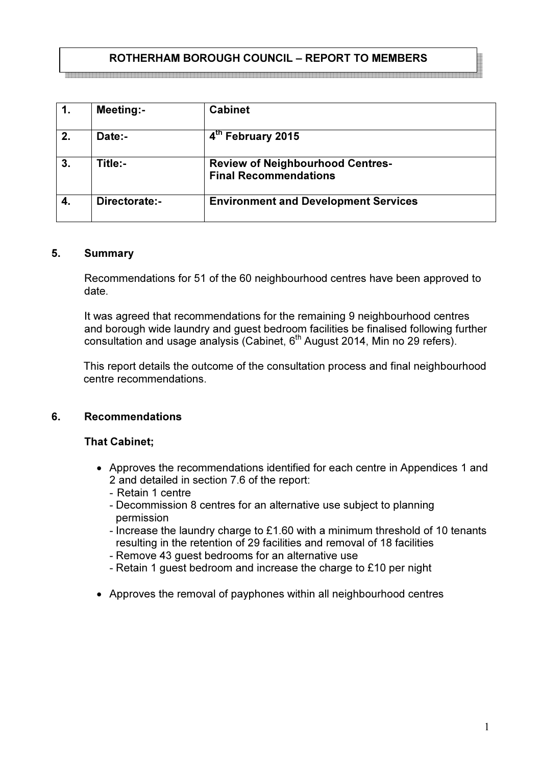# ROTHERHAM BOROUGH COUNCIL – REPORT TO MEMBERS

|    | Meeting:-     | <b>Cabinet</b>                                                          |  |
|----|---------------|-------------------------------------------------------------------------|--|
| 2. | Date:-        | 4th February 2015                                                       |  |
| 3. | Title:-       | <b>Review of Neighbourhood Centres-</b><br><b>Final Recommendations</b> |  |
|    | Directorate:- | <b>Environment and Development Services</b>                             |  |

#### 5. Summary

Recommendations for 51 of the 60 neighbourhood centres have been approved to date.

It was agreed that recommendations for the remaining 9 neighbourhood centres and borough wide laundry and guest bedroom facilities be finalised following further consultation and usage analysis (Cabinet,  $6<sup>th</sup>$  August 2014, Min no 29 refers).

This report details the outcome of the consultation process and final neighbourhood centre recommendations.

#### 6. Recommendations

## That Cabinet;

- Approves the recommendations identified for each centre in Appendices 1 and 2 and detailed in section 7.6 of the report:
	- Retain 1 centre
	- Decommission 8 centres for an alternative use subject to planning permission
	- Increase the laundry charge to £1.60 with a minimum threshold of 10 tenants resulting in the retention of 29 facilities and removal of 18 facilities
	- Remove 43 guest bedrooms for an alternative use
	- Retain 1 guest bedroom and increase the charge to £10 per night
- Approves the removal of payphones within all neighbourhood centres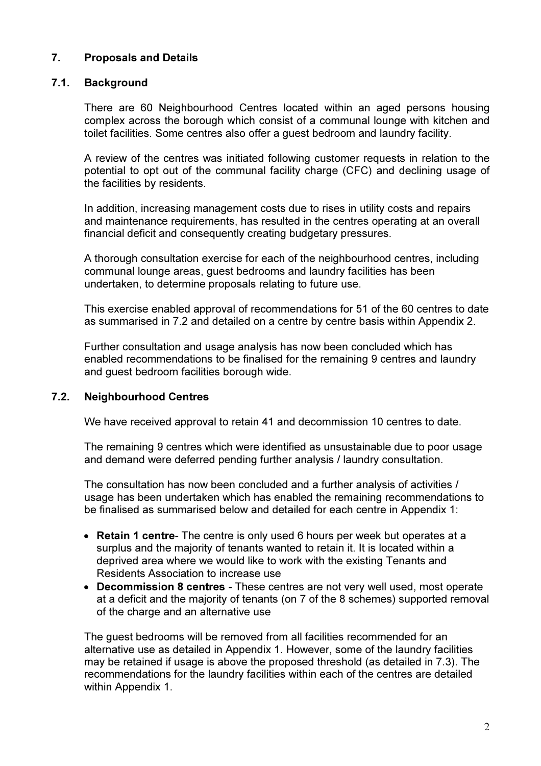# 7. Proposals and Details

## 7.1. Background

There are 60 Neighbourhood Centres located within an aged persons housing complex across the borough which consist of a communal lounge with kitchen and toilet facilities. Some centres also offer a guest bedroom and laundry facility.

A review of the centres was initiated following customer requests in relation to the potential to opt out of the communal facility charge (CFC) and declining usage of the facilities by residents.

In addition, increasing management costs due to rises in utility costs and repairs and maintenance requirements, has resulted in the centres operating at an overall financial deficit and consequently creating budgetary pressures.

A thorough consultation exercise for each of the neighbourhood centres, including communal lounge areas, guest bedrooms and laundry facilities has been undertaken, to determine proposals relating to future use.

This exercise enabled approval of recommendations for 51 of the 60 centres to date as summarised in 7.2 and detailed on a centre by centre basis within Appendix 2.

Further consultation and usage analysis has now been concluded which has enabled recommendations to be finalised for the remaining 9 centres and laundry and guest bedroom facilities borough wide.

## 7.2. Neighbourhood Centres

We have received approval to retain 41 and decommission 10 centres to date.

The remaining 9 centres which were identified as unsustainable due to poor usage and demand were deferred pending further analysis / laundry consultation.

The consultation has now been concluded and a further analysis of activities / usage has been undertaken which has enabled the remaining recommendations to be finalised as summarised below and detailed for each centre in Appendix 1:

- Retain 1 centre- The centre is only used 6 hours per week but operates at a surplus and the majority of tenants wanted to retain it. It is located within a deprived area where we would like to work with the existing Tenants and Residents Association to increase use
- Decommission 8 centres These centres are not very well used, most operate at a deficit and the majority of tenants (on 7 of the 8 schemes) supported removal of the charge and an alternative use

The guest bedrooms will be removed from all facilities recommended for an alternative use as detailed in Appendix 1. However, some of the laundry facilities may be retained if usage is above the proposed threshold (as detailed in 7.3). The recommendations for the laundry facilities within each of the centres are detailed within Appendix 1.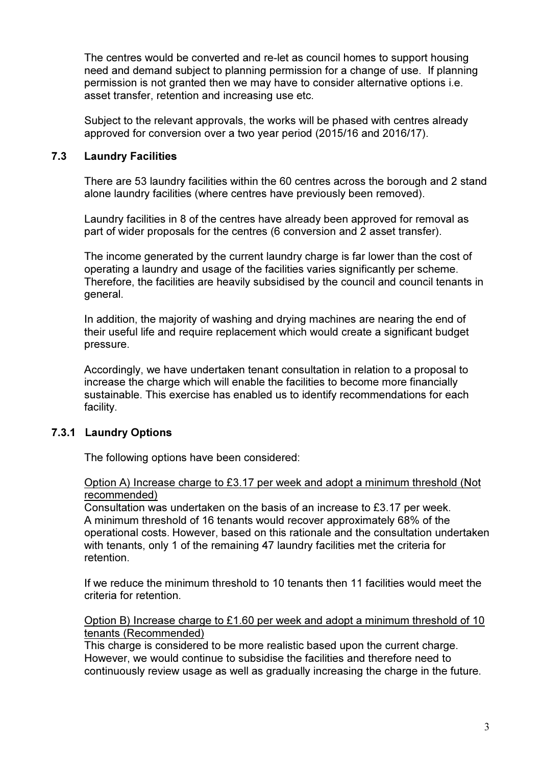The centres would be converted and re-let as council homes to support housing need and demand subject to planning permission for a change of use. If planning permission is not granted then we may have to consider alternative options i.e. asset transfer, retention and increasing use etc.

Subject to the relevant approvals, the works will be phased with centres already approved for conversion over a two year period (2015/16 and 2016/17).

## 7.3 Laundry Facilities

There are 53 laundry facilities within the 60 centres across the borough and 2 stand alone laundry facilities (where centres have previously been removed).

Laundry facilities in 8 of the centres have already been approved for removal as part of wider proposals for the centres (6 conversion and 2 asset transfer).

The income generated by the current laundry charge is far lower than the cost of operating a laundry and usage of the facilities varies significantly per scheme. Therefore, the facilities are heavily subsidised by the council and council tenants in general.

In addition, the majority of washing and drying machines are nearing the end of their useful life and require replacement which would create a significant budget pressure.

Accordingly, we have undertaken tenant consultation in relation to a proposal to increase the charge which will enable the facilities to become more financially sustainable. This exercise has enabled us to identify recommendations for each facility.

# 7.3.1 Laundry Options

The following options have been considered:

## Option A) Increase charge to £3.17 per week and adopt a minimum threshold (Not recommended)

Consultation was undertaken on the basis of an increase to £3.17 per week. A minimum threshold of 16 tenants would recover approximately 68% of the operational costs. However, based on this rationale and the consultation undertaken with tenants, only 1 of the remaining 47 laundry facilities met the criteria for retention.

If we reduce the minimum threshold to 10 tenants then 11 facilities would meet the criteria for retention.

Option B) Increase charge to £1.60 per week and adopt a minimum threshold of 10 tenants (Recommended)

This charge is considered to be more realistic based upon the current charge. However, we would continue to subsidise the facilities and therefore need to continuously review usage as well as gradually increasing the charge in the future.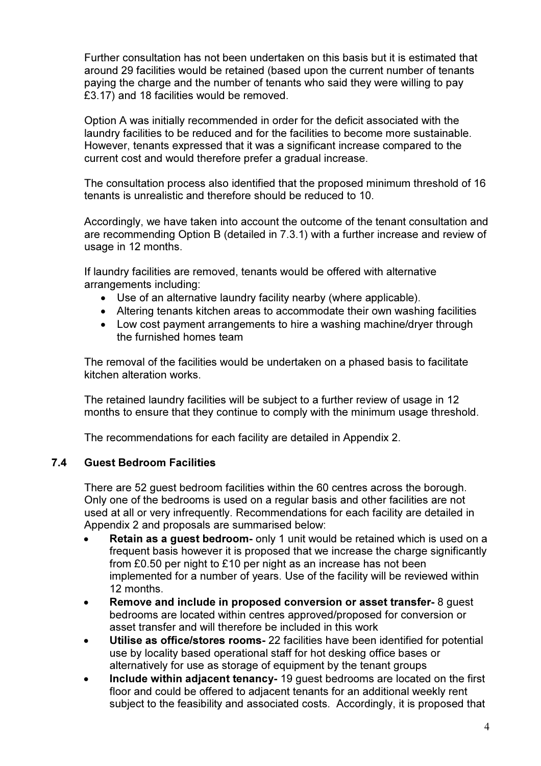Further consultation has not been undertaken on this basis but it is estimated that around 29 facilities would be retained (based upon the current number of tenants paying the charge and the number of tenants who said they were willing to pay £3.17) and 18 facilities would be removed.

Option A was initially recommended in order for the deficit associated with the laundry facilities to be reduced and for the facilities to become more sustainable. However, tenants expressed that it was a significant increase compared to the current cost and would therefore prefer a gradual increase.

The consultation process also identified that the proposed minimum threshold of 16 tenants is unrealistic and therefore should be reduced to 10.

Accordingly, we have taken into account the outcome of the tenant consultation and are recommending Option B (detailed in 7.3.1) with a further increase and review of usage in 12 months.

If laundry facilities are removed, tenants would be offered with alternative arrangements including:

- Use of an alternative laundry facility nearby (where applicable).
- Altering tenants kitchen areas to accommodate their own washing facilities
- Low cost payment arrangements to hire a washing machine/dryer through the furnished homes team

The removal of the facilities would be undertaken on a phased basis to facilitate kitchen alteration works.

The retained laundry facilities will be subject to a further review of usage in 12 months to ensure that they continue to comply with the minimum usage threshold.

The recommendations for each facility are detailed in Appendix 2.

# 7.4 Guest Bedroom Facilities

There are 52 guest bedroom facilities within the 60 centres across the borough. Only one of the bedrooms is used on a regular basis and other facilities are not used at all or very infrequently. Recommendations for each facility are detailed in Appendix 2 and proposals are summarised below:

- Retain as a quest bedroom- only 1 unit would be retained which is used on a frequent basis however it is proposed that we increase the charge significantly from £0.50 per night to £10 per night as an increase has not been implemented for a number of years. Use of the facility will be reviewed within 12 months.
- Remove and include in proposed conversion or asset transfer- 8 guest bedrooms are located within centres approved/proposed for conversion or asset transfer and will therefore be included in this work
- Utilise as office/stores rooms- 22 facilities have been identified for potential use by locality based operational staff for hot desking office bases or alternatively for use as storage of equipment by the tenant groups
- Include within adjacent tenancy- 19 guest bedrooms are located on the first floor and could be offered to adjacent tenants for an additional weekly rent subject to the feasibility and associated costs. Accordingly, it is proposed that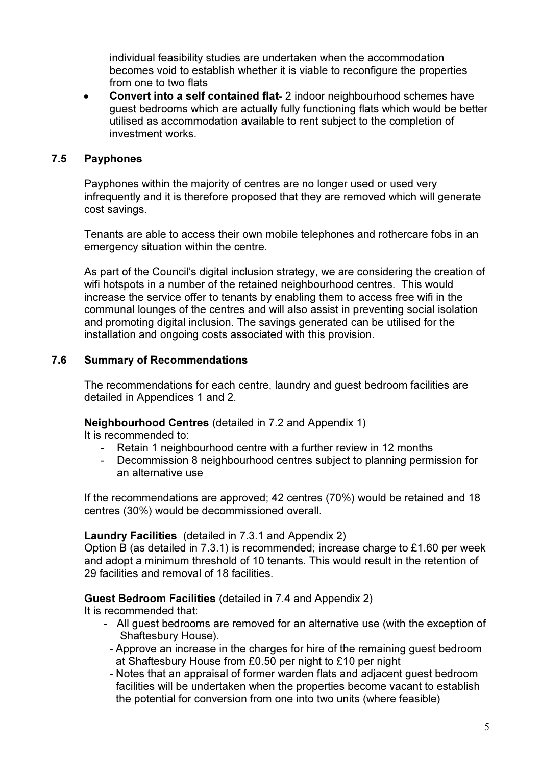individual feasibility studies are undertaken when the accommodation becomes void to establish whether it is viable to reconfigure the properties from one to two flats

• Convert into a self contained flat- 2 indoor neighbourhood schemes have guest bedrooms which are actually fully functioning flats which would be better utilised as accommodation available to rent subject to the completion of investment works.

## 7.5 Payphones

Payphones within the majority of centres are no longer used or used very infrequently and it is therefore proposed that they are removed which will generate cost savings.

Tenants are able to access their own mobile telephones and rothercare fobs in an emergency situation within the centre.

As part of the Council's digital inclusion strategy, we are considering the creation of wifi hotspots in a number of the retained neighbourhood centres. This would increase the service offer to tenants by enabling them to access free wifi in the communal lounges of the centres and will also assist in preventing social isolation and promoting digital inclusion. The savings generated can be utilised for the installation and ongoing costs associated with this provision.

# 7.6 Summary of Recommendations

The recommendations for each centre, laundry and guest bedroom facilities are detailed in Appendices 1 and 2.

Neighbourhood Centres (detailed in 7.2 and Appendix 1)

It is recommended to:

- Retain 1 neighbourhood centre with a further review in 12 months
- Decommission 8 neighbourhood centres subject to planning permission for an alternative use

If the recommendations are approved; 42 centres (70%) would be retained and 18 centres (30%) would be decommissioned overall.

## Laundry Facilities (detailed in 7.3.1 and Appendix 2)

Option B (as detailed in 7.3.1) is recommended; increase charge to £1.60 per week and adopt a minimum threshold of 10 tenants. This would result in the retention of 29 facilities and removal of 18 facilities.

## Guest Bedroom Facilities (detailed in 7.4 and Appendix 2)

It is recommended that:

- All guest bedrooms are removed for an alternative use (with the exception of Shaftesbury House).
	- Approve an increase in the charges for hire of the remaining guest bedroom at Shaftesbury House from £0.50 per night to £10 per night
	- Notes that an appraisal of former warden flats and adjacent guest bedroom facilities will be undertaken when the properties become vacant to establish the potential for conversion from one into two units (where feasible)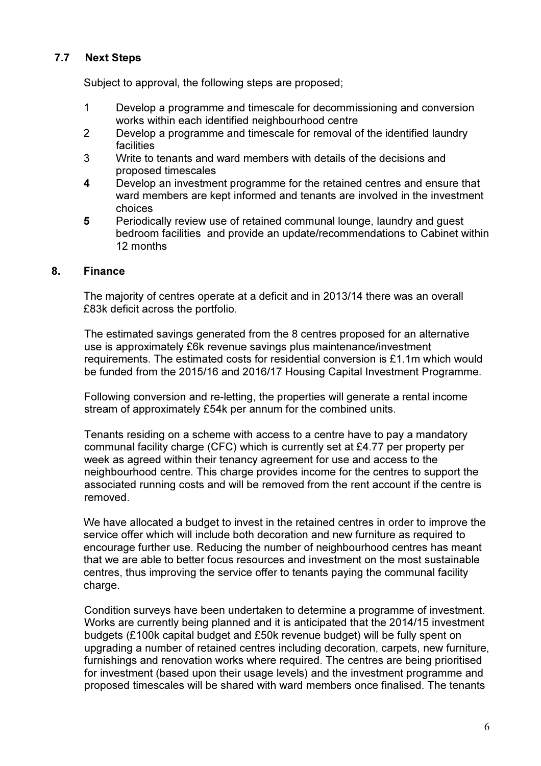# 7.7 Next Steps

Subject to approval, the following steps are proposed;

- 1 Develop a programme and timescale for decommissioning and conversion works within each identified neighbourhood centre
- 2 Develop a programme and timescale for removal of the identified laundry facilities
- 3 Write to tenants and ward members with details of the decisions and proposed timescales
- 4 Develop an investment programme for the retained centres and ensure that ward members are kept informed and tenants are involved in the investment choices
- 5 Periodically review use of retained communal lounge, laundry and guest bedroom facilities and provide an update/recommendations to Cabinet within 12 months

## 8. Finance

The majority of centres operate at a deficit and in 2013/14 there was an overall £83k deficit across the portfolio.

The estimated savings generated from the 8 centres proposed for an alternative use is approximately £6k revenue savings plus maintenance/investment requirements. The estimated costs for residential conversion is £1.1m which would be funded from the 2015/16 and 2016/17 Housing Capital Investment Programme.

Following conversion and re-letting, the properties will generate a rental income stream of approximately £54k per annum for the combined units.

Tenants residing on a scheme with access to a centre have to pay a mandatory communal facility charge (CFC) which is currently set at £4.77 per property per week as agreed within their tenancy agreement for use and access to the neighbourhood centre. This charge provides income for the centres to support the associated running costs and will be removed from the rent account if the centre is removed.

We have allocated a budget to invest in the retained centres in order to improve the service offer which will include both decoration and new furniture as required to encourage further use. Reducing the number of neighbourhood centres has meant that we are able to better focus resources and investment on the most sustainable centres, thus improving the service offer to tenants paying the communal facility charge.

Condition surveys have been undertaken to determine a programme of investment. Works are currently being planned and it is anticipated that the 2014/15 investment budgets (£100k capital budget and £50k revenue budget) will be fully spent on upgrading a number of retained centres including decoration, carpets, new furniture, furnishings and renovation works where required. The centres are being prioritised for investment (based upon their usage levels) and the investment programme and proposed timescales will be shared with ward members once finalised. The tenants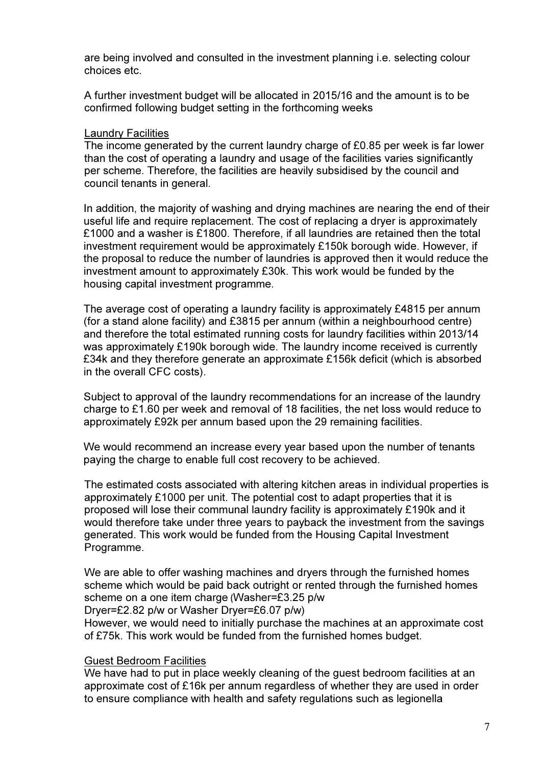are being involved and consulted in the investment planning i.e. selecting colour choices etc.

A further investment budget will be allocated in 2015/16 and the amount is to be confirmed following budget setting in the forthcoming weeks

#### Laundry Facilities

The income generated by the current laundry charge of £0.85 per week is far lower than the cost of operating a laundry and usage of the facilities varies significantly per scheme. Therefore, the facilities are heavily subsidised by the council and council tenants in general.

In addition, the majority of washing and drying machines are nearing the end of their useful life and require replacement. The cost of replacing a dryer is approximately £1000 and a washer is £1800. Therefore, if all laundries are retained then the total investment requirement would be approximately £150k borough wide. However, if the proposal to reduce the number of laundries is approved then it would reduce the investment amount to approximately £30k. This work would be funded by the housing capital investment programme.

The average cost of operating a laundry facility is approximately £4815 per annum (for a stand alone facility) and £3815 per annum (within a neighbourhood centre) and therefore the total estimated running costs for laundry facilities within 2013/14 was approximately £190k borough wide. The laundry income received is currently £34k and they therefore generate an approximate £156k deficit (which is absorbed in the overall CFC costs).

Subject to approval of the laundry recommendations for an increase of the laundry charge to £1.60 per week and removal of 18 facilities, the net loss would reduce to approximately £92k per annum based upon the 29 remaining facilities.

We would recommend an increase every year based upon the number of tenants paying the charge to enable full cost recovery to be achieved.

The estimated costs associated with altering kitchen areas in individual properties is approximately £1000 per unit. The potential cost to adapt properties that it is proposed will lose their communal laundry facility is approximately £190k and it would therefore take under three years to payback the investment from the savings generated. This work would be funded from the Housing Capital Investment Programme.

We are able to offer washing machines and dryers through the furnished homes scheme which would be paid back outright or rented through the furnished homes scheme on a one item charge (Washer=£3.25 p/w Dryer=£2.82 p/w or Washer Dryer=£6.07 p/w)

However, we would need to initially purchase the machines at an approximate cost of £75k. This work would be funded from the furnished homes budget.

## Guest Bedroom Facilities

We have had to put in place weekly cleaning of the guest bedroom facilities at an approximate cost of £16k per annum regardless of whether they are used in order to ensure compliance with health and safety regulations such as legionella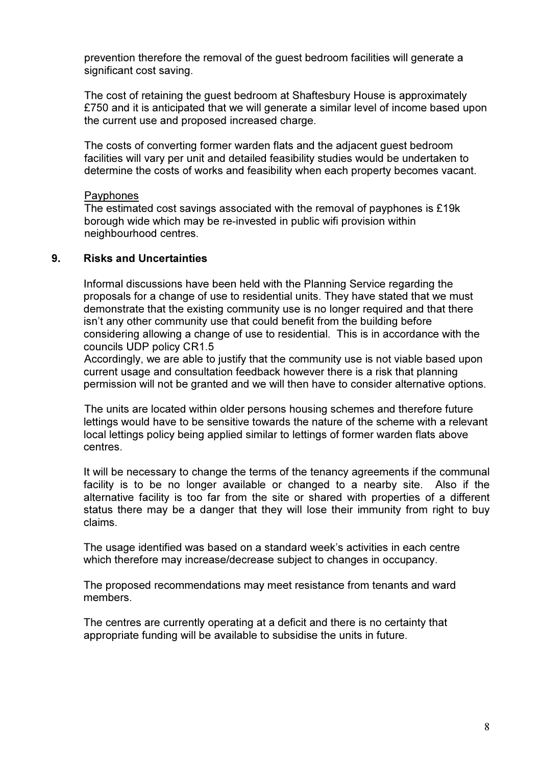prevention therefore the removal of the guest bedroom facilities will generate a significant cost saving.

The cost of retaining the guest bedroom at Shaftesbury House is approximately £750 and it is anticipated that we will generate a similar level of income based upon the current use and proposed increased charge.

The costs of converting former warden flats and the adjacent guest bedroom facilities will vary per unit and detailed feasibility studies would be undertaken to determine the costs of works and feasibility when each property becomes vacant.

#### **Payphones**

The estimated cost savings associated with the removal of payphones is £19k borough wide which may be re-invested in public wifi provision within neighbourhood centres.

## 9. Risks and Uncertainties

Informal discussions have been held with the Planning Service regarding the proposals for a change of use to residential units. They have stated that we must demonstrate that the existing community use is no longer required and that there isn't any other community use that could benefit from the building before considering allowing a change of use to residential. This is in accordance with the councils UDP policy CR1.5

Accordingly, we are able to justify that the community use is not viable based upon current usage and consultation feedback however there is a risk that planning permission will not be granted and we will then have to consider alternative options.

The units are located within older persons housing schemes and therefore future lettings would have to be sensitive towards the nature of the scheme with a relevant local lettings policy being applied similar to lettings of former warden flats above centres.

It will be necessary to change the terms of the tenancy agreements if the communal facility is to be no longer available or changed to a nearby site. Also if the alternative facility is too far from the site or shared with properties of a different status there may be a danger that they will lose their immunity from right to buy claims.

The usage identified was based on a standard week's activities in each centre which therefore may increase/decrease subject to changes in occupancy.

The proposed recommendations may meet resistance from tenants and ward members.

The centres are currently operating at a deficit and there is no certainty that appropriate funding will be available to subsidise the units in future.